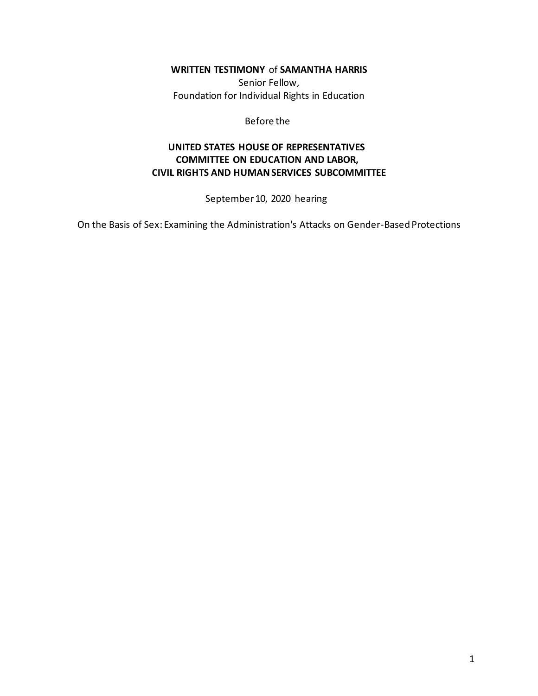**WRITTEN TESTIMONY** of **SAMANTHA HARRIS**

Senior Fellow, Foundation for Individual Rights in Education

Before the

# **UNITED STATES HOUSE OF REPRESENTATIVES COMMITTEE ON EDUCATION AND LABOR, CIVIL RIGHTS AND HUMAN SERVICES SUBCOMMITTEE**

September 10, 2020 hearing

On the Basis of Sex: Examining the Administration's Attacks on Gender-Based Protections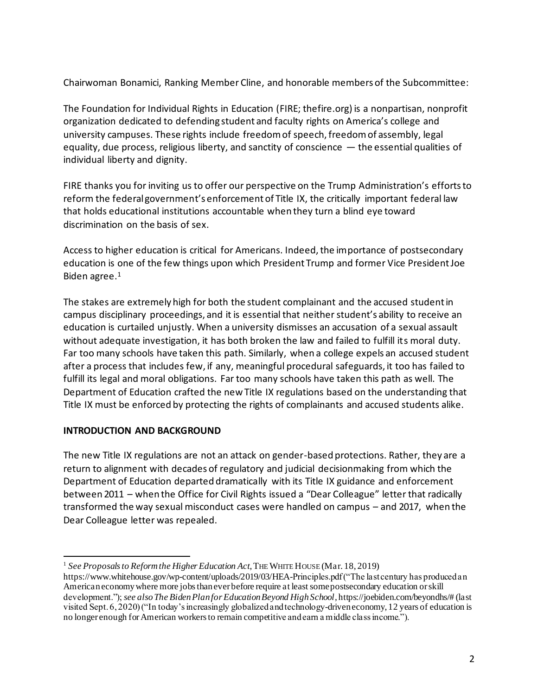Chairwoman Bonamici, Ranking Member Cline, and honorable members of the Subcommittee:

The Foundation for Individual Rights in Education (FIRE; thefire.org) is a nonpartisan, nonprofit organization dedicated to defending student and faculty rights on America's college and university campuses. These rights include freedom of speech, freedom of assembly, legal equality, due process, religious liberty, and sanctity of conscience — the essential qualities of individual liberty and dignity.

FIRE thanks you for inviting us to offer our perspective on the Trump Administration's efforts to reform the federal government's enforcement of Title IX, the critically important federal law that holds educational institutions accountable when they turn a blind eye toward discrimination on the basis of sex.

Access to higher education is critical for Americans. Indeed, the importance of postsecondary education is one of the few things upon which President Trump and former Vice President Joe Biden agree.<sup>1</sup>

The stakes are extremely high for both the student complainant and the accused student in campus disciplinary proceedings, and it is essential that neither student's ability to receive an education is curtailed unjustly. When a university dismisses an accusation of a sexual assault without adequate investigation, it has both broken the law and failed to fulfill its moral duty. Far too many schools have taken this path. Similarly, when a college expels an accused student after a process that includes few, if any, meaningful procedural safeguards, it too has failed to fulfill its legal and moral obligations. Far too many schools have taken this path as well. The Department of Education crafted the new Title IX regulations based on the understanding that Title IX must be enforced by protecting the rights of complainants and accused students alike.

### **INTRODUCTION AND BACKGROUND**

The new Title IX regulations are not an attack on gender-based protections. Rather, they are a return to alignment with decades of regulatory and judicial decisionmaking from which the Department of Education departed dramatically with its Title IX guidance and enforcement between 2011 – when the Office for Civil Rights issued a "Dear Colleague" letter that radically transformed the way sexual misconduct cases were handled on campus – and 2017, when the Dear Colleague letter was repealed.

<sup>1</sup> *See Proposals to Reform the Higher Education Act*, THE WHITE HOUSE (Mar. 18, 2019)

https://www.whitehouse.gov/wp-content/uploads/2019/03/HEA-Principles.pdf ("The last century has produced an American economy where more jobs than ever before require at least some postsecondary education or skill development."); *see alsoThe Biden Plan for Education Beyond High School*, https://joebiden.com/beyondhs/# (last visited Sept. 6, 2020) ("In today's increasingly globalized and technology-driven economy, 12 years of education is no longer enough for American workers to remain competitive and earn a middle class income.").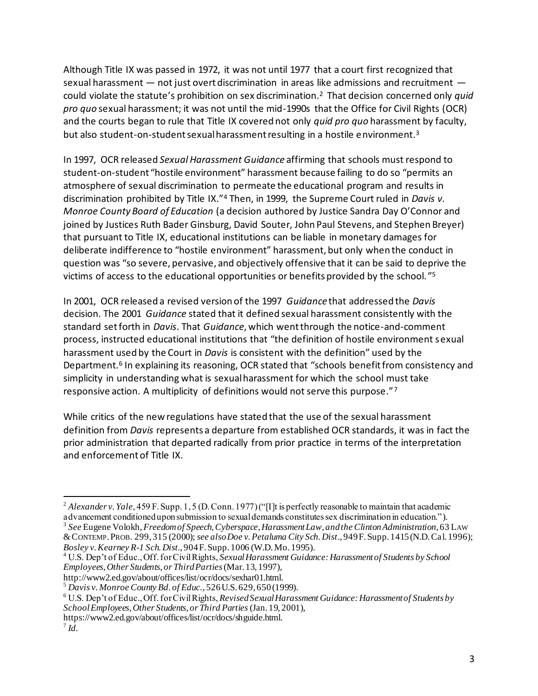Although Title IX was passed in 1972, it was not until 1977 that a court first recognized that sexual harassment — not just overt discrimination in areas like admissions and recruitment could violate the statute's prohibition on sex discrimination.<sup>2</sup> That decision concerned only *quid pro quo* sexual harassment; it was not until the mid-1990s that the Office for Civil Rights (OCR) and the courts began to rule that Title IX covered not only *quid pro quo* harassment by faculty, but also student-on-student sexual harassment resulting in a hostile environment.<sup>3</sup>

In 1997, OCR released *Sexual Harassment Guidance* affirming that schools must respond to student-on-student "hostile environment" harassment because failing to do so "permits an atmosphere of sexual discrimination to permeate the educational program and results in discrimination prohibited by Title IX."<sup>4</sup> Then, in 1999, the Supreme Court ruled in *Davis v. Monroe County Board of Education* (a decision authored by Justice Sandra Day O'Connor and ioined by Justices Ruth Bader Ginsburg, David Souter, John Paul Stevens, and Stephen Breyer) that pursuant to Title IX, educational institutions can be liable in monetary damages for deliberate indifference to "hostile environment" harassment, but only when the conduct in question was "so severe, pervasive, and objectively offensive that it can be said to deprive the victims of access to the educational opportunities or benefits provided by the school. " 5

In 2001, OCR released a revised version of the 1997 *Guidance* that addressed the *Davis*  decision. The 2001 *Guidance* stated that it defined sexual harassment consistently with the standard set forth in *Davis*. That *Guidance*, which went through the notice-and-comment process, instructed educational institutions that "the definition of hostile environment sexual harassment used by the Court in *Davis* is consistent with the definition" used by the Department.<sup>6</sup> In explaining its reasoning, OCR stated that "schools benefit from consistency and simplicity in understanding what is sexual harassment for which the school must take responsive action. A multiplicity of definitions would not serve this purpose."7

While critics of the new regulations have stated that the use of the sexual harassment definition from *Davis* represents a departure from established OCR standards, it was in fact the prior administration that departed radically from prior practice in terms of the interpretation and enforcement of Title IX.

<sup>&</sup>lt;sup>2</sup> *Alexander v. Yale*, 459 F. Supp. 1, 5 (D. Conn. 1977) ("[I]t is perfectly reasonable to maintain that academic advancement conditioned upon submission to sexual demands constitutes sex discrimination in education.").

<sup>3</sup> *See* Eugene Volokh, *Freedom of Speech, Cyberspace, Harassment Law, and the Clinton Administration*, 63 LAW &CONTEMP.PROB. 299, 315 (2000); *see also Doe v. Petaluma City Sch. Dist*., 949 F. Supp. 1415 (N.D. Cal. 1996); *Bosley v. Kearney R-1 Sch. Dist.*, 904 F. Supp. 1006 (W.D. Mo. 1995).

<sup>4</sup> U.S. Dep't of Educ., Off. for Civil Rights, *Sexual Harassment Guidance: Harassment of Students by School Employees, Other Students, or Third Parties* (Mar. 13, 1997),

http://www2.ed.gov/about/offices/list/ocr/docs/sexhar01.html.

<sup>5</sup> *Davis v. Monroe County Bd. of Educ.*, 526 U.S. 629, 650 (1999).

<sup>6</sup> U.S. Dep't of Educ., Off. for Civil Rights, *Revised Sexual Harassment Guidance: Harassment of Students by School Employees, Other Students, or Third Parties*(Jan. 19, 2001),

https://www2.ed.gov/about/offices/list/ocr/docs/shguide.html.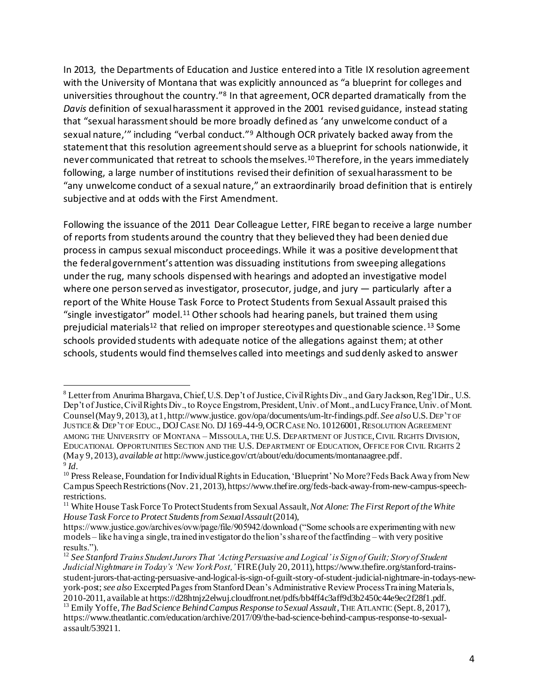In 2013, the Departments of Education and Justice entered into a Title IX resolution agreement with the University of Montana that was explicitly announced as "a blueprint for colleges and universities throughout the country."<sup>8</sup> In that agreement, OCR departed dramatically from the *Davis* definition of sexual harassment it approved in the 2001 revised guidance, instead stating that "sexual harassment should be more broadly defined as 'any unwelcome conduct of a sexual nature," including "verbal conduct."<sup>9</sup> Although OCR privately backed away from the statement that this resolution agreement should serve as a blueprint for schools nationwide, it never communicated that retreat to schools themselves.<sup>10</sup> Therefore, in the years immediately following, a large number of institutions revised their definition of sexual harassment to be "any unwelcome conduct of a sexual nature," an extraordinarily broad definition that is entirely subjective and at odds with the First Amendment.

Following the issuance of the 2011 Dear Colleague Letter, FIRE began to receive a large number of reports from students around the country that they believed they had been denied due process in campus sexual misconduct proceedings. While it was a positive development that the federal government's attention was dissuading institutions from sweeping allegations under the rug, many schools dispensed with hearings and adopted an investigative model where one person served as investigator, prosecutor, judge, and jury — particularly after a report of the White House Task Force to Protect Students from Sexual Assault praised this "single investigator" model.<sup>11</sup> Other schools had hearing panels, but trained them using prejudicial materials<sup>12</sup> that relied on improper stereotypes and questionable science.<sup>13</sup> Some schools provided students with adequate notice of the allegations against them; at other schools, students would find themselves called into meetings and suddenly asked to answer

<sup>8</sup> Letter from Anurima Bhargava, Chief, U.S. Dep't of Justice, Civil Rights Div., and Gary Jackson, Reg'l Dir., U.S. Dep't of Justice, Civil Rights Div., to Royce Engstrom, President, Univ. of Mont., and Lucy France, Univ. of Mont. Counsel (May 9, 2013), at 1, http://www.justice. gov/opa/documents/um-ltr-findings.pdf. *See also*U.S.DEP'T OF JUSTICE & DEP'T OF EDUC., DOJ CASE NO. DJ 169-44-9, OCR CASE NO. 10126001, RESOLUTION AGREEMENT AMONG THE UNIVERSITY OF MONTANA – MISSOULA, THE U.S. DEPARTMENT OF JUSTICE,CIVIL RIGHTS DIVISION, EDUCATIONAL OPPORTUNITIES SECTION AND THE U.S. DEPARTMENT OF EDUCATION, OFFICE FOR CIVIL RIGHTS 2 (May 9, 2013), *available at* http://www.justice.gov/crt/about/edu/documents/montanaagree.pdf. 9 *Id.*

<sup>&</sup>lt;sup>10</sup> Press Release, Foundation for Individual Rights in Education, 'Blueprint' No More? Feds Back Away from New Campus Speech Restrictions (Nov. 21, 2013), https://www.thefire.org/feds-back-away-from-new-campus-speechrestrictions.

<sup>11</sup> White House Task Force To Protect Students from Sexual Assault, *Not Alone: The First Report of the White House Task Force to Protect StudentsfromSexualAssault*(2014),

https://www.justice.gov/archives/ovw/page/file/905942/download ("Some schools are experimenting with new models – like having a single, trained investigator do the lion's share of the factfinding – with very positive results.").

<sup>12</sup> *See Stanford Trains Student Jurors That 'Acting Persuasive and Logical' is Sign of Guilt; Story of Student Judicial Nightmare in Today's 'New York Post,'* FIRE (July 20, 2011), https://www.thefire.org/stanford-trainsstudent-jurors-that-acting-persuasive-and-logical-is-sign-of-guilt-story-of-student-judicial-nightmare-in-todays-newyork-post; *see also* Excerpted Pages from Stanford Dean's Administrative Review Process Training Materials, 2010-2011, available at https://d28htnjz2elwuj.cloudfront.net/pdfs/bb4ff4c3aff9d3b2450c44e9ec2f28f1.pdf.

<sup>&</sup>lt;sup>13</sup> Emily Yoffe, *The Bad Science Behind Campus Response to Sexual Assault*, THE ATLANTIC (Sept. 8, 2017), https://www.theatlantic.com/education/archive/2017/09/the-bad-science-behind-campus-response-to-sexualassault/539211.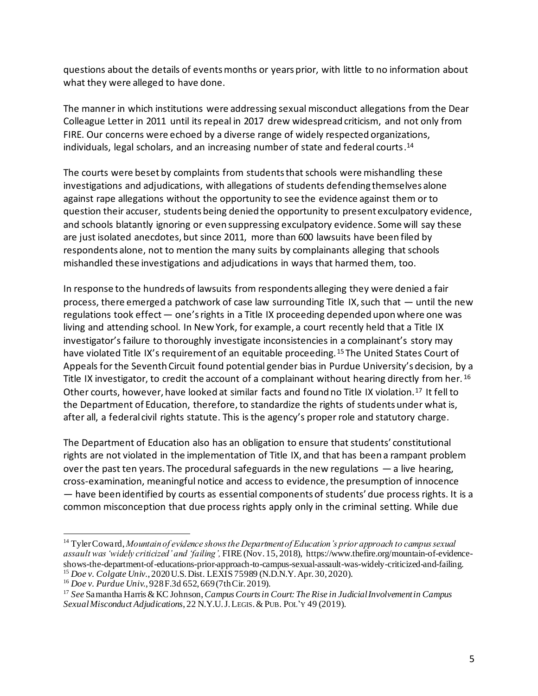questions about the details of events months or years prior, with little to no information about what they were alleged to have done.

The manner in which institutions were addressing sexual misconduct allegations from the Dear Colleague Letter in 2011 until its repeal in 2017 drew widespread criticism, and not only from FIRE. Our concerns were echoed by a diverse range of widely respected organizations, individuals, legal scholars, and an increasing number of state and federal courts. 14

The courts were beset by complaints from students that schools were mishandling these investigations and adjudications, with allegations of students defending themselves alone against rape allegations without the opportunity to see the evidence against them or to question their accuser, students being denied the opportunity to present exculpatory evidence, and schools blatantly ignoring or even suppressing exculpatory evidence. Some will say these are just isolated anecdotes, but since 2011, more than 600 lawsuits have been filed by respondents alone, not to mention the many suits by complainants alleging that schools mishandled these investigations and adjudications in ways that harmed them, too.

In response to the hundreds of lawsuits from respondents alleging they were denied a fair process, there emerged a patchwork of case law surrounding Title IX, such that — until the new regulations took effect — one's rights in a Title IX proceeding depended upon where one was living and attending school. In New York, for example, a court recently held that a Title IX investigator's failure to thoroughly investigate inconsistencies in a complainant's story may have violated Title IX's requirement of an equitable proceeding.<sup>15</sup> The United States Court of Appeals for the Seventh Circuit found potential gender bias in Purdue University's decision, by a Title IX investigator, to credit the account of a complainant without hearing directly from her. <sup>16</sup> Other courts, however, have looked at similar facts and found no Title IX violation.<sup>17</sup> It fell to the Department of Education, therefore, to standardize the rights of students under what is, after all, a federal civil rights statute. This is the agency's proper role and statutory charge.

The Department of Education also has an obligation to ensure that students' constitutional rights are not violated in the implementation of Title IX, and that has been a rampant problem over the past ten years. The procedural safeguards in the new regulations  $-$  a live hearing, cross-examination, meaningful notice and access to evidence, the presumption of innocence — have been identified by courts as essential components of students' due process rights. It is a common misconception that due process rights apply only in the criminal setting. While due

<sup>14</sup> Tyler Coward, *Mountain of evidence shows the Department of Education's prior approach to campus sexual assault was 'widely criticized' and 'failing',* FIRE (Nov. 15, 2018), https://www.thefire.org/mountain-of-evidenceshows-the-department-of-educations-prior-approach-to-campus-sexual-assault-was-widely-criticized-and-failing. <sup>15</sup> *Doe v. Colgate Univ.*, 2020 U.S. Dist. LEXIS 75989 (N.D.N.Y. Apr. 30, 2020).

<sup>16</sup> *Doe v. Purdue Univ.*, 928 F.3d 652, 669 (7th Cir. 2019).

<sup>17</sup> *See* Samantha Harris & KC Johnson, *Campus Courts in Court: The Rise in Judicial Involvement in Campus Sexual Misconduct Adjudications*, 22 N.Y.U.J.LEGIS.&PUB. POL'Y 49 (2019).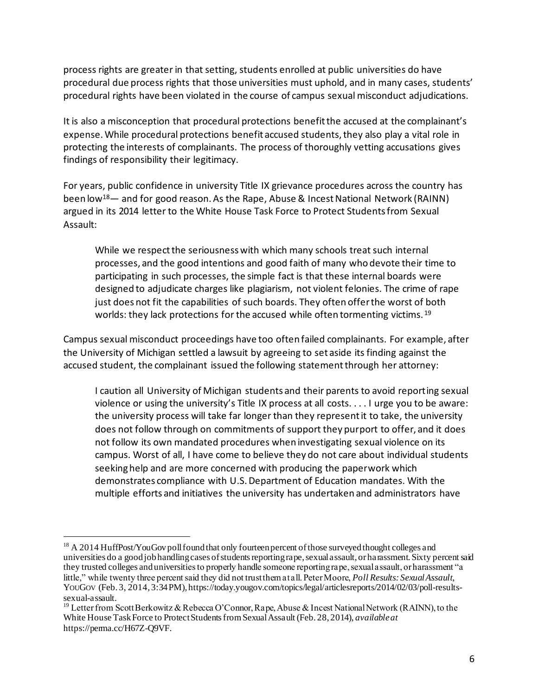process rights are greater in that setting, students enrolled at public universities do have procedural due process rights that those universities must uphold, and in many cases, students' procedural rights have been violated in the course of campus sexual misconduct adjudications.

It is also a misconception that procedural protections benefit the accused at the complainant's expense. While procedural protections benefit accused students, they also play a vital role in protecting the interests of complainants. The process of thoroughly vetting accusations gives findings of responsibility their legitimacy.

For years, public confidence in university Title IX grievance procedures across the country has been low<sup>18</sup>— and for good reason. As the Rape, Abuse & Incest National Network (RAINN) argued in its 2014 letter to the White House Task Force to Protect Students from Sexual Assault:

While we respect the seriousness with which many schools treat such internal processes, and the good intentions and good faith of many who devote their time to participating in such processes, the simple fact is that these internal boards were designed to adjudicate charges like plagiarism, not violent felonies. The crime of rape just does not fit the capabilities of such boards. They often offer the worst of both worlds: they lack protections for the accused while often tormenting victims.<sup>19</sup>

Campus sexual misconduct proceedings have too often failed complainants. For example, after the University of Michigan settled a lawsuit by agreeing to set aside its finding against the accused student, the complainant issued the following statement through her attorney:

I caution all University of Michigan students and their parents to avoid reporting sexual violence or using the university's Title IX process at all costs. . . . I urge you to be aware: the university process will take far longer than they represent it to take, the university does not follow through on commitments of support they purport to offer, and it does not follow its own mandated procedures when investigating sexual violence on its campus. Worst of all, I have come to believe they do not care about individual students seeking help and are more concerned with producing the paperwork which demonstrates compliance with U.S. Department of Education mandates. With the multiple efforts and initiatives the university has undertaken and administrators have

<sup>&</sup>lt;sup>18</sup> A 2014 HuffPost/YouGov poll found that only fourteen percent of those surveyed thought colleges and universities do a good job handling cases of students reporting rape, sexual assault, or harassment. Sixty percent said they trusted colleges and universities to properly handle someone reporting rape, sexual assault, or harassment "a little," while twenty three percent said they did not trust them at all. Peter Moore, *Poll Results: Sexual Assault*, YouGov (Feb. 3, 2014, 3:34 PM), https://today.yougov.com/topics/legal/articlesreports/2014/02/03/poll-resultssexual-assault.

<sup>&</sup>lt;sup>19</sup> Letter from Scott Berkowitz & Rebecca O'Connor, Rape, Abuse & Incest National Network (RAINN), to the White House Task Force to Protect Students from Sexual Assault (Feb. 28, 2014), *available at* https://perma.cc/H67Z-Q9VF.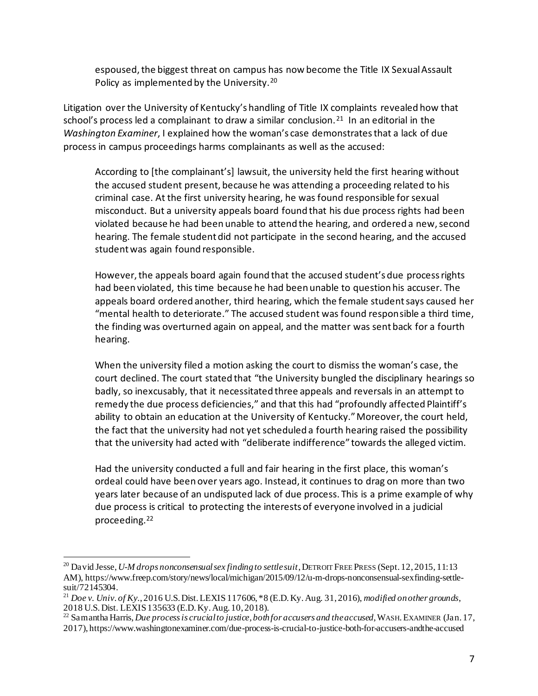espoused, the biggest threat on campus has now become the Title IX Sexual Assault Policy as implemented by the University.<sup>20</sup>

Litigation over the University of Kentucky's handling of Title IX complaints revealed how that school's process led a complainant to draw a similar conclusion.<sup>21</sup> In an editorial in the *Washington Examiner*, I explained how the woman's case demonstrates that a lack of due process in campus proceedings harms complainants as well as the accused:

According to [the complainant's] lawsuit, the university held the first hearing without the accused student present, because he was attending a proceeding related to his criminal case. At the first university hearing, he was found responsible for sexual misconduct. But a university appeals board found that his due process rights had been violated because he had been unable to attend the hearing, and ordered a new, second hearing. The female student did not participate in the second hearing, and the accused student was again found responsible.

However, the appeals board again found that the accused student's due process rights had been violated, this time because he had been unable to question his accuser. The appeals board ordered another, third hearing, which the female student says caused her "mental health to deteriorate." The accused student was found responsible a third time, the finding was overturned again on appeal, and the matter was sent back for a fourth hearing.

When the university filed a motion asking the court to dismiss the woman's case, the court declined. The court stated that "the University bungled the disciplinary hearings so badly, so inexcusably, that it necessitated three appeals and reversals in an attempt to remedy the due process deficiencies," and that this had "profoundly affected Plaintiff's ability to obtain an education at the University of Kentucky." Moreover, the court held, the fact that the university had not yet scheduled a fourth hearing raised the possibility that the university had acted with "deliberate indifference" towards the alleged victim.

Had the university conducted a full and fair hearing in the first place, this woman's ordeal could have been over years ago. Instead, it continues to drag on more than two years later because of an undisputed lack of due process. This is a prime example of why due process is critical to protecting the interests of everyone involved in a judicial proceeding.<sup>22</sup>

<sup>&</sup>lt;sup>20</sup> David Jesse, *U-M drops nonconsensual sex finding to settle suit*, DETROIT FREE PRESS (Sept. 12, 2015, 11:13 AM), https://www.freep.com/story/news/local/michigan/2015/09/12/u-m-drops-nonconsensual-sexfinding-settlesuit/72145304.

<sup>21</sup> *Doe v. Univ. of Ky.*, 2016 U.S. Dist. LEXIS 117606, \*8 (E.D. Ky. Aug. 31, 2016), *modified on other grounds*, 2018 U.S. Dist. LEXIS 135633 (E.D. Ky. Aug. 10, 2018).

<sup>22</sup> Samantha Harris, *Due process is crucial to justice, both for accusers and the accused*, WASH.EXAMINER (Jan. 17, 2017), https://www.washingtonexaminer.com/due-process-is-crucial-to-justice-both-for-accusers-andthe-accused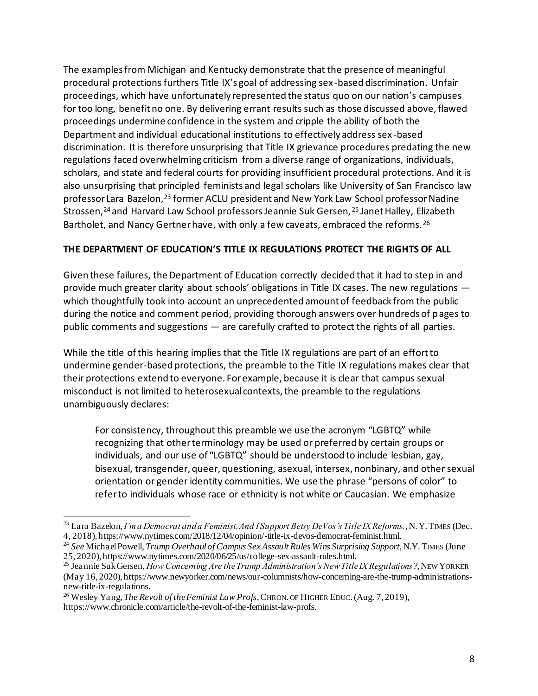The examples from Michigan and Kentucky demonstrate that the presence of meaningful procedural protections furthers Title IX's goal of addressing sex-based discrimination. Unfair proceedings, which have unfortunately represented the status quo on our nation's campuses for too long, benefit no one. By delivering errant results such as those discussed above, flawed proceedings undermine confidence in the system and cripple the ability of both the Department and individual educational institutions to effectively address sex -based discrimination. It is therefore unsurprising that Title IX grievance procedures predating the new regulations faced overwhelming criticism from a diverse range of organizations, individuals, scholars, and state and federal courts for providing insufficient procedural protections. And it is also unsurprising that principled feminists and legal scholars like University of San Francisco law professor Lara Bazelon, <sup>23</sup> former ACLU president and New York Law School professor Nadine Strossen,<sup>24</sup> and Harvard Law School professors Jeannie Suk Gersen,<sup>25</sup> Janet Halley, Elizabeth Bartholet, and Nancy Gertner have, with only a few caveats, embraced the reforms.<sup>26</sup>

### **THE DEPARTMENT OF EDUCATION'S TITLE IX REGULATIONS PROTECT THE RIGHTS OF ALL**

Given these failures, the Department of Education correctly decided that it had to step in and provide much greater clarity about schools' obligations in Title IX cases. The new regulations which thoughtfully took into account an unprecedented amount of feedback from the public during the notice and comment period, providing thorough answers over hundreds of pages to public comments and suggestions — are carefully crafted to protect the rights of all parties.

While the title of this hearing implies that the Title IX regulations are part of an effort to undermine gender-based protections, the preamble to the Title IX regulations makes clear that their protections extend to everyone. For example, because it is clear that campus sexual misconduct is not limited to heterosexual contexts, the preamble to the regulations unambiguously declares:

For consistency, throughout this preamble we use the acronym "LGBTQ" while recognizing that other terminology may be used or preferred by certain groups or individuals, and our use of "LGBTQ" should be understood to include lesbian, gay, bisexual, transgender, queer, questioning, asexual, intersex, nonbinary, and other sexual orientation or gender identity communities. We use the phrase "persons of color" to refer to individuals whose race or ethnicity is not white or Caucasian. We emphasize

<sup>23</sup> Lara Bazelon, *I'm a Democrat and a Feminist. And I Support Betsy DeVos's Title IX Reforms.*, N.Y.TIMES (Dec. 4, 2018), https://www.nytimes.com/2018/12/04/opinion/-title-ix-devos-democrat-feminist.html.

<sup>24</sup> *See* Michael Powell, *Trump Overhaul of Campus Sex Assault Rules Wins Surprising Support*, N.Y.TIMES (June 25, 2020), https://www.nytimes.com/2020/06/25/us/college-sex-assault-rules.html.

<sup>25</sup> Jeannie Suk Gersen, *How Concerning Are the Trump Administration's New Title IX Regulations?*, NEW YORKER (May 16, 2020), https://www.newyorker.com/news/our-columnists/how-concerning-are-the-trump-administrationsnew-title-ix-regulations.

<sup>26</sup> Wesley Yang, *The Revolt of the Feminist Law Profs*, CHRON. OF HIGHER EDUC.(Aug. 7, 2019), https://www.chronicle.com/article/the-revolt-of-the-feminist-law-profs.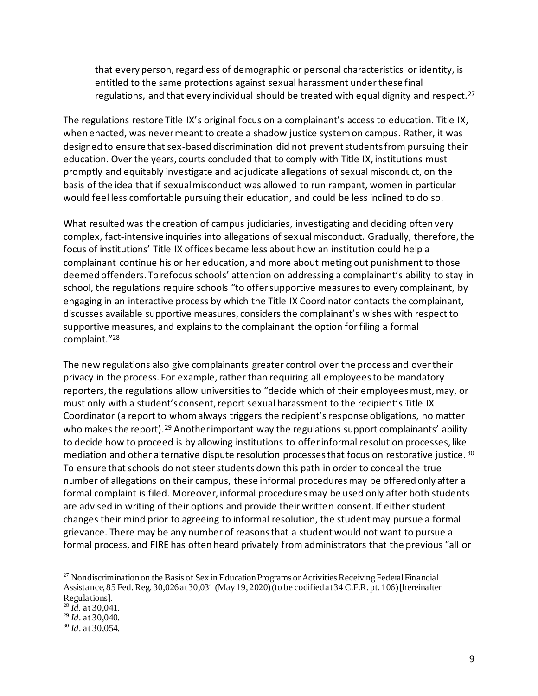that every person, regardless of demographic or personal characteristics or identity, is entitled to the same protections against sexual harassment under these final regulations, and that every individual should be treated with equal dignity and respect.<sup>27</sup>

The regulations restore Title IX's original focus on a complainant's access to education. Title IX, when enacted, was never meant to create a shadow justice system on campus. Rather, it was designed to ensure that sex-based discrimination did not prevent students from pursuing their education. Over the years, courts concluded that to comply with Title IX, institutions must promptly and equitably investigate and adjudicate allegations of sexual misconduct, on the basis of the idea that if sexual misconduct was allowed to run rampant, women in particular would feel less comfortable pursuing their education, and could be less inclined to do so.

What resulted was the creation of campus judiciaries, investigating and deciding often very complex, fact-intensive inquiries into allegations of sexual misconduct. Gradually, therefore, the focus of institutions' Title IX offices became less about how an institution could help a complainant continue his or her education, and more about meting out punishment to those deemed offenders. To refocus schools' attention on addressing a complainant's ability to stay in school, the regulations require schools "to offer supportive measures to every complainant, by engaging in an interactive process by which the Title IX Coordinator contacts the complainant, discusses available supportive measures, considers the complainant's wishes with respect to supportive measures, and explains to the complainant the option for filing a formal complaint."<sup>28</sup>

The new regulations also give complainants greater control over the process and over their privacy in the process. For example, rather than requiring all employees to be mandatory reporters, the regulations allow universities to "decide which of their employees must, may, or must only with a student's consent, report sexual harassment to the recipient's Title IX Coordinator (a report to whom always triggers the recipient's response obligations, no matter who makes the report).<sup>29</sup> Another important way the regulations support complainants' ability to decide how to proceed is by allowing institutions to offer informal resolution processes, like mediation and other alternative dispute resolution processes that focus on restorative justice. <sup>30</sup> To ensure that schools do not steer students down this path in order to conceal the true number of allegations on their campus, these informal procedures may be offered only after a formal complaint is filed. Moreover, informal procedures may be used only after both students are advised in writing of their options and provide their written consent. If either student changes their mind prior to agreeing to informal resolution, the student may pursue a formal grievance. There may be any number of reasons that a student would not want to pursue a formal process, and FIRE has often heard privately from administrators that the previous "all or

<sup>&</sup>lt;sup>27</sup> Nondiscrimination on the Basis of Sex in Education Programs or Activities Receiving Federal Financial Assistance, 85 Fed. Reg. 30,026 at 30,031 (May 19, 2020) (to be codified at 34 C.F.R. pt. 106) [hereinafter Regulations].

<sup>28</sup> *Id.* at 30,041.

<sup>29</sup> *Id*. at 30,040.

<sup>30</sup> *Id*. at 30,054.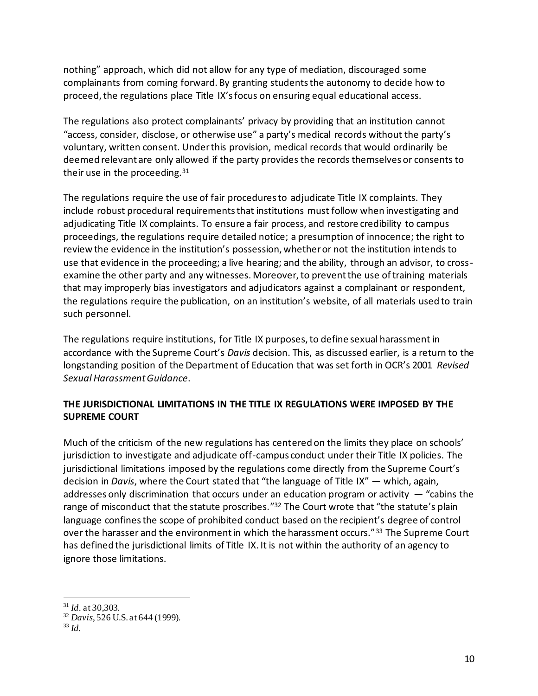nothing" approach, which did not allow for any type of mediation, discouraged some complainants from coming forward. By granting students the autonomy to decide how to proceed, the regulations place Title IX's focus on ensuring equal educational access.

The regulations also protect complainants' privacy by providing that an institution cannot "access, consider, disclose, or otherwise use" a party's medical records without the party's voluntary, written consent. Under this provision, medical records that would ordinarily be deemed relevant are only allowed if the party provides the records themselves or consents to their use in the proceeding.<sup>31</sup>

The regulations require the use of fair procedures to adjudicate Title IX complaints. They include robust procedural requirements that institutions must follow when investigating and adjudicating Title IX complaints. To ensure a fair process, and restore credibility to campus proceedings, the regulations require detailed notice; a presumption of innocence; the right to review the evidence in the institution's possession, whether or not the institution intends to use that evidence in the proceeding; a live hearing; and the ability, through an advisor, to crossexamine the other party and any witnesses. Moreover, to prevent the use of training materials that may improperly bias investigators and adjudicators against a complainant or respondent, the regulations require the publication, on an institution's website, of all materials used to train such personnel.

The regulations require institutions, for Title IX purposes, to define sexual harassment in accordance with the Supreme Court's *Davis* decision. This, as discussed earlier, is a return to the longstanding position of the Department of Education that was set forth in OCR's 2001 *Revised Sexual Harassment Guidance*.

# **THE JURISDICTIONAL LIMITATIONS IN THE TITLE IX REGULATIONS WERE IMPOSED BY THE SUPREME COURT**

Much of the criticism of the new regulations has centered on the limits they place on schools' jurisdiction to investigate and adjudicate off-campus conduct under their Title IX policies. The jurisdictional limitations imposed by the regulations come directly from the Supreme Court's decision in *Davis*, where the Court stated that "the language of Title IX" — which, again, addresses only discrimination that occurs under an education program or activity  $-$  "cabins the range of misconduct that the statute proscribes."<sup>32</sup> The Court wrote that "the statute's plain language confines the scope of prohibited conduct based on the recipient's degree of control over the harasser and the environment in which the harassment occurs."<sup>33</sup> The Supreme Court has defined the jurisdictional limits of Title IX. It is not within the authority of an agency to ignore those limitations.

<sup>31</sup> *Id*. at 30,303.

<sup>32</sup> *Davis*, 526 U.S. at 644 (1999).

<sup>33</sup> *Id.*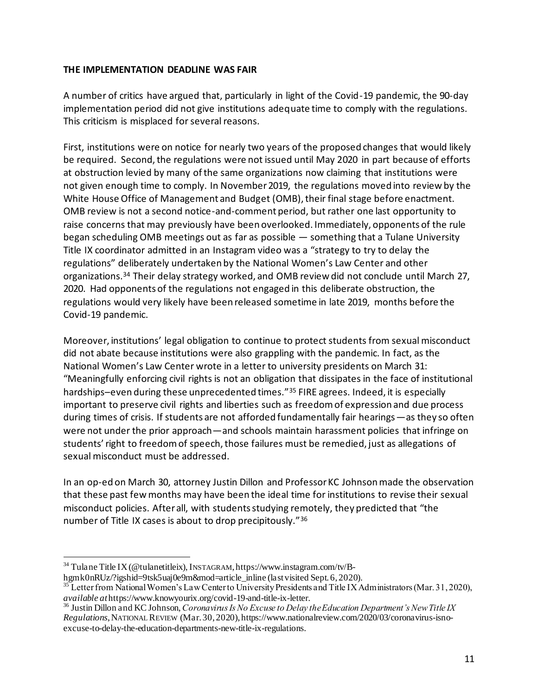#### **THE IMPLEMENTATION DEADLINE WAS FAIR**

A number of critics have argued that, particularly in light of the Covid-19 pandemic, the 90-day implementation period did not give institutions adequate time to comply with the regulations. This criticism is misplaced for several reasons.

First, institutions were on notice for nearly two years of the proposed changes that would likely be required. Second, the regulations were not issued until May 2020 in part because of efforts at obstruction levied by many of the same organizations now claiming that institutions were not given enough time to comply. In November 2019, the regulations moved into review by the White House Office of Management and Budget (OMB), their final stage before enactment. OMB review is not a second notice-and-comment period, but rather one last opportunity to raise concerns that may previously have been overlooked. Immediately, opponents of the rule began scheduling OMB meetings out as far as possible — something that a Tulane University Title IX coordinator admitted in an Instagram video was a "strategy to try to delay the regulations" deliberately undertaken by the National Women's Law Center and other organizations.<sup>34</sup> Their delay strategy worked, and OMB review did not conclude until March 27, 2020. Had opponents of the regulations not engaged in this deliberate obstruction, the regulations would very likely have been released sometime in late 2019, months before the Covid-19 pandemic.

Moreover, institutions' legal obligation to continue to protect students from sexual misconduct did not abate because institutions were also grappling with the pandemic. In fact, as the National Women's Law Center wrote in a letter to university presidents on March 31: "Meaningfully enforcing civil rights is not an obligation that dissipates in the face of institutional hardships–even during these unprecedented times."<sup>35</sup> FIRE agrees. Indeed, it is especially important to preserve civil rights and liberties such as freedom of expression and due process during times of crisis. If students are not afforded fundamentally fair hearings—as they so often were not under the prior approach—and schools maintain harassment policies that infringe on students' right to freedom of speech, those failures must be remedied, just as allegations of sexual misconduct must be addressed.

In an op-ed on March 30, attorney Justin Dillon and Professor KC Johnson made the observation that these past few months may have been the ideal time for institutions to revise their sexual misconduct policies. After all, with students studying remotely, they predicted that "the number of Title IX cases is about to drop precipitously."<sup>36</sup>

<sup>34</sup> Tulane Title IX (@tulanetitleix), INSTAGRAM, https://www.instagram.com/tv/B-

hgmk0nRUz/?igshid=9tsk5uaj0e9m&mod=article\_inline (last visited Sept. 6, 2020).

<sup>&</sup>lt;sup>35</sup> Letter from National Women's Law Center to University Presidents and Title IX Administrators (Mar. 31, 2020), *available at*https://www.knowyourix.org/covid-19-and-title-ix-letter.

<sup>36</sup> Justin Dillon and KC Johnson, *Coronavirus Is No Excuse to Delay the Education Department's New Title IX Regulations*, NATIONAL REVIEW (Mar. 30, 2020), https://www.nationalreview.com/2020/03/coronavirus-isnoexcuse-to-delay-the-education-departments-new-title-ix-regulations.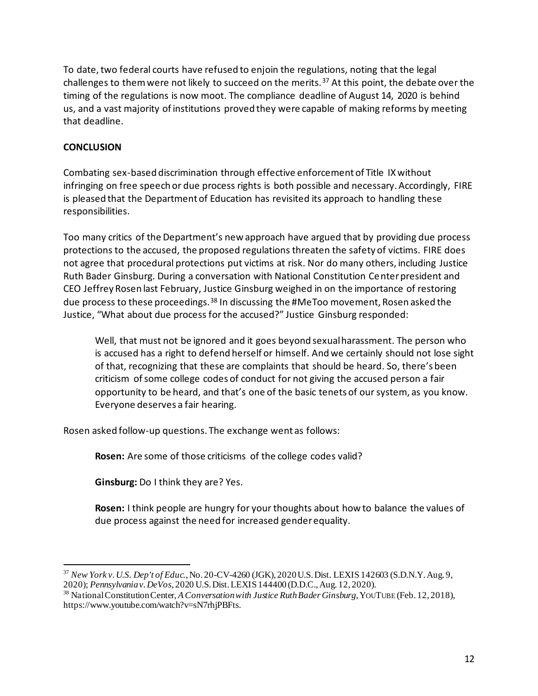To date, two federal courts have refused to enjoin the regulations, noting that the legal challenges to them were not likely to succeed on the merits.<sup>37</sup> At this point, the debate over the timing of the regulations is now moot. The compliance deadline of August 14, 2020 is behind us, and a vast majority of institutions proved they were capable of making reforms by meeting that deadline.

## **CONCLUSION**

Combating sex-based discrimination through effective enforcement of Title IX without infringing on free speech or due process rights is both possible and necessary. Accordingly, FIRE is pleased that the Department of Education has revisited its approach to handling these responsibilities.

Too many critics of the Department's new approach have argued that by providing due process protections to the accused, the proposed regulations threaten the safety of victims. FIRE does not agree that procedural protections put victims at risk. Nor do many others, including Justice Ruth Bader Ginsburg. During a conversation with National Constitution Center president and CEO Jeffrey Rosen last February, Justice Ginsburg weighed in on the importance of restoring due process to these proceedings.<sup>38</sup> In discussing the #MeToo movement, Rosen asked the Justice, "What about due process for the accused?" Justice Ginsburg responded:

Well, that must not be ignored and it goes beyond sexual harassment. The person who is accused has a right to defend herself or himself. And we certainly should not lose sight of that, recognizing that these are complaints that should be heard. So, there's been criticism of some college codes of conduct for not giving the accused person a fair opportunity to be heard, and that's one of the basic tenets of our system, as you know. Everyone deserves a fair hearing.

Rosen asked follow-up questions. The exchange went as follows:

**Rosen:** Are some of those criticisms of the college codes valid?

**Ginsburg:** Do I think they are? Yes.

**Rosen:** I think people are hungry for your thoughts about how to balance the values of due process against the need for increased gender equality.

<sup>37</sup> *New York v. U.S. Dep't of Educ.*, No. 20-CV-4260 (JGK), 2020 U.S. Dist. LEXIS 142603 (S.D.N.Y. Aug. 9, 2020); *Pennsylvania v. DeVos*, 2020 U.S. Dist. LEXIS 144400 (D.D.C., Aug. 12, 2020).

<sup>38</sup> National Constitution Center, *A Conversation with Justice Ruth Bader Ginsburg*, YOUTUBE (Feb. 12, 2018), https://www.youtube.com/watch?v=sN7rhjPBFts.